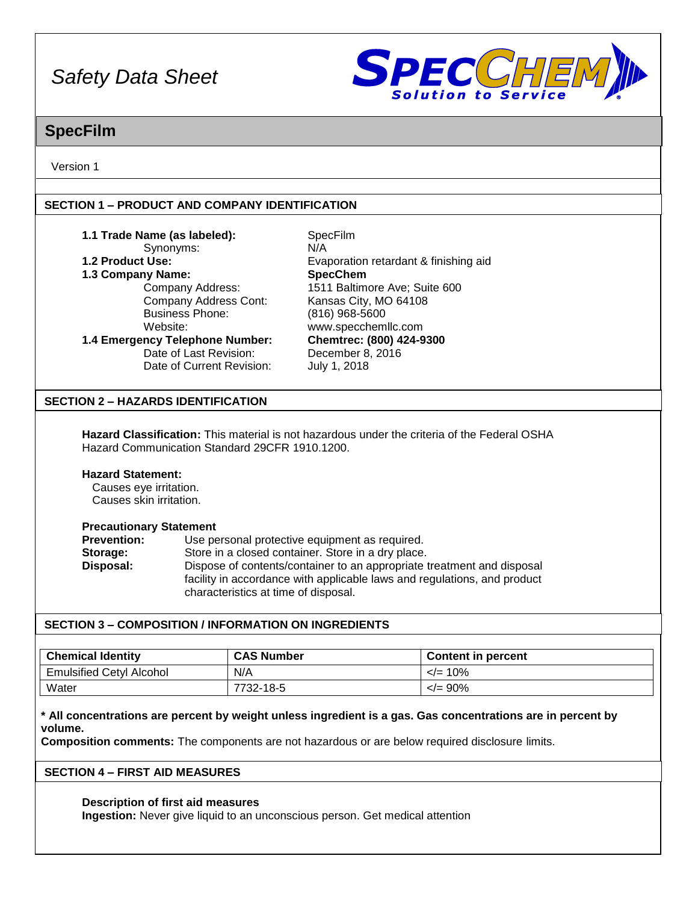

## **SpecFilm**

Version 1

### **SECTION 1 – PRODUCT AND COMPANY IDENTIFICATION**

| 1.1 Trade Name (as labeled):<br>Synonyms:<br>1.2 Product Use:<br>1.3 Company Name:<br>Company Address:<br>Company Address Cont: | SpecFilm<br>N/A<br>Evaporation retardant & finishing aid<br><b>SpecChem</b><br>1511 Baltimore Ave; Suite 600<br>Kansas City, MO 64108 |
|---------------------------------------------------------------------------------------------------------------------------------|---------------------------------------------------------------------------------------------------------------------------------------|
| <b>Business Phone:</b>                                                                                                          | $(816)$ 968-5600                                                                                                                      |
| Website:                                                                                                                        | www.specchemllc.com                                                                                                                   |
| 1.4 Emergency Telephone Number:                                                                                                 | Chemtrec: (800) 424-9300                                                                                                              |
| Date of Last Revision:                                                                                                          | December 8, 2016                                                                                                                      |
| Date of Current Revision:                                                                                                       | July 1, 2018                                                                                                                          |
| SECTION 2 – HAZARDS IDENTIFICATION                                                                                              |                                                                                                                                       |
| Hazard Communication Standard 29CFR 1910.1200.                                                                                  | <b>Hazard Classification:</b> This material is not hazardous under the criteria of the Federal OSHA                                   |
| <b>Hazard Statement:</b>                                                                                                        |                                                                                                                                       |
| Causes eye irritation.                                                                                                          |                                                                                                                                       |
| Causes skin irritation.                                                                                                         |                                                                                                                                       |
| <b>Precautionary Statement</b>                                                                                                  |                                                                                                                                       |

| <b>Prevention:</b> | Use personal protective equipment as required.                                                                                                                                             |
|--------------------|--------------------------------------------------------------------------------------------------------------------------------------------------------------------------------------------|
| Storage:           | Store in a closed container. Store in a dry place.                                                                                                                                         |
| Disposal:          | Dispose of contents/container to an appropriate treatment and disposal<br>facility in accordance with applicable laws and regulations, and product<br>characteristics at time of disposal. |

### **SECTION 3 – COMPOSITION / INFORMATION ON INGREDIENTS**

| <b>Chemical Identity</b>        | <b>CAS Number</b> | <b>Content in percent</b> |
|---------------------------------|-------------------|---------------------------|
| <b>Emulsified Cetyl Alcohol</b> | N/A               | $\leq$ = 10%              |
| Water                           | 7732-18-5         | $\langle = 90\%$          |

**\* All concentrations are percent by weight unless ingredient is a gas. Gas concentrations are in percent by volume.**

**Composition comments:** The components are not hazardous or are below required disclosure limits.

### **SECTION 4 – FIRST AID MEASURES**

### **Description of first aid measures**

**Ingestion:** Never give liquid to an unconscious person. Get medical attention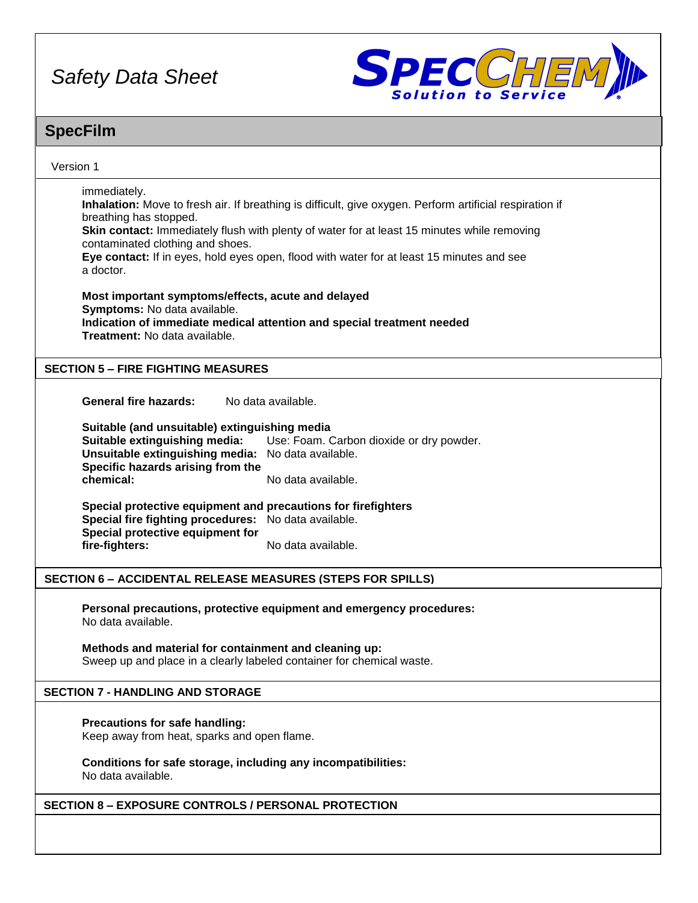

### **SpecFilm**

| <b>Specriim</b>                                                                                                                                                                                                                                                                                                                                                                                                                                       |
|-------------------------------------------------------------------------------------------------------------------------------------------------------------------------------------------------------------------------------------------------------------------------------------------------------------------------------------------------------------------------------------------------------------------------------------------------------|
| Version 1                                                                                                                                                                                                                                                                                                                                                                                                                                             |
| immediately.<br>Inhalation: Move to fresh air. If breathing is difficult, give oxygen. Perform artificial respiration if<br>breathing has stopped.<br>Skin contact: Immediately flush with plenty of water for at least 15 minutes while removing<br>contaminated clothing and shoes.<br>Eye contact: If in eyes, hold eyes open, flood with water for at least 15 minutes and see<br>a doctor.<br>Most important symptoms/effects, acute and delayed |
| Symptoms: No data available.<br>Indication of immediate medical attention and special treatment needed<br><b>Treatment: No data available.</b>                                                                                                                                                                                                                                                                                                        |
| <b>SECTION 5 - FIRE FIGHTING MEASURES</b>                                                                                                                                                                                                                                                                                                                                                                                                             |
| General fire hazards:<br>No data available.                                                                                                                                                                                                                                                                                                                                                                                                           |
| Suitable (and unsuitable) extinguishing media<br><b>Suitable extinguishing media:</b> Use: Foam. Carbon dioxide or dry powder.<br>Unsuitable extinguishing media: No data available.<br>Specific hazards arising from the<br>chemical:<br>No data available.                                                                                                                                                                                          |
| Special protective equipment and precautions for firefighters<br>Special fire fighting procedures: No data available.<br>Special protective equipment for<br>fire-fighters:<br>No data available.                                                                                                                                                                                                                                                     |
| <b>SECTION 6 - ACCIDENTAL RELEASE MEASURES (STEPS FOR SPILLS)</b>                                                                                                                                                                                                                                                                                                                                                                                     |
| Personal precautions, protective equipment and emergency procedures:<br>No data available.                                                                                                                                                                                                                                                                                                                                                            |
| Methods and material for containment and cleaning up:<br>Sweep up and place in a clearly labeled container for chemical waste.                                                                                                                                                                                                                                                                                                                        |
| <b>SECTION 7 - HANDLING AND STORAGE</b>                                                                                                                                                                                                                                                                                                                                                                                                               |
| Precautions for safe handling:<br>Keep away from heat, sparks and open flame.                                                                                                                                                                                                                                                                                                                                                                         |
| Conditions for safe storage, including any incompatibilities:<br>No data available.                                                                                                                                                                                                                                                                                                                                                                   |
| <b>SECTION 8 - EXPOSURE CONTROLS / PERSONAL PROTECTION</b>                                                                                                                                                                                                                                                                                                                                                                                            |
|                                                                                                                                                                                                                                                                                                                                                                                                                                                       |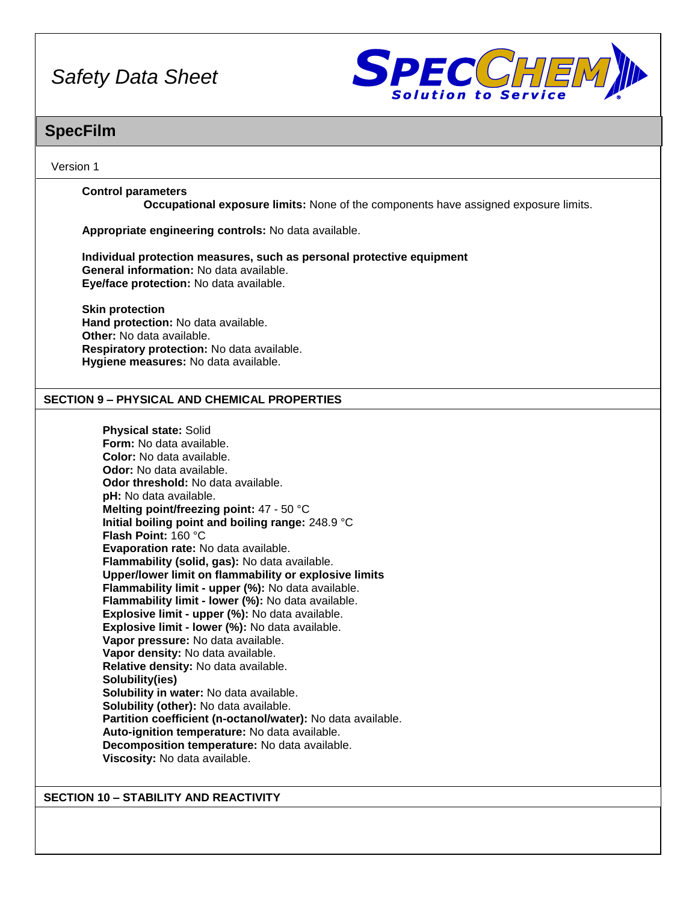

### **SpecFilm**

Version 1

### **Control parameters**

**Occupational exposure limits:** None of the components have assigned exposure limits.

**Appropriate engineering controls:** No data available.

**Individual protection measures, such as personal protective equipment General information:** No data available. **Eye/face protection:** No data available.

**Skin protection Hand protection:** No data available. **Other:** No data available. **Respiratory protection:** No data available. **Hygiene measures:** No data available.

### **SECTION 9 – PHYSICAL AND CHEMICAL PROPERTIES**

**Physical state:** Solid **Form:** No data available. **Color:** No data available. **Odor:** No data available. **Odor threshold:** No data available. **pH:** No data available. **Melting point/freezing point:** 47 - 50 °C **Initial boiling point and boiling range:** 248.9 °C **Flash Point:** 160 °C **Evaporation rate:** No data available. **Flammability (solid, gas):** No data available. **Upper/lower limit on flammability or explosive limits Flammability limit - upper (%):** No data available. **Flammability limit - lower (%):** No data available. **Explosive limit - upper (%):** No data available. **Explosive limit - lower (%):** No data available. **Vapor pressure:** No data available. **Vapor density:** No data available. **Relative density:** No data available. **Solubility(ies) Solubility in water:** No data available. **Solubility (other):** No data available. **Partition coefficient (n-octanol/water):** No data available. **Auto-ignition temperature:** No data available. **Decomposition temperature:** No data available. **Viscosity:** No data available.

**SECTION 10 – STABILITY AND REACTIVITY**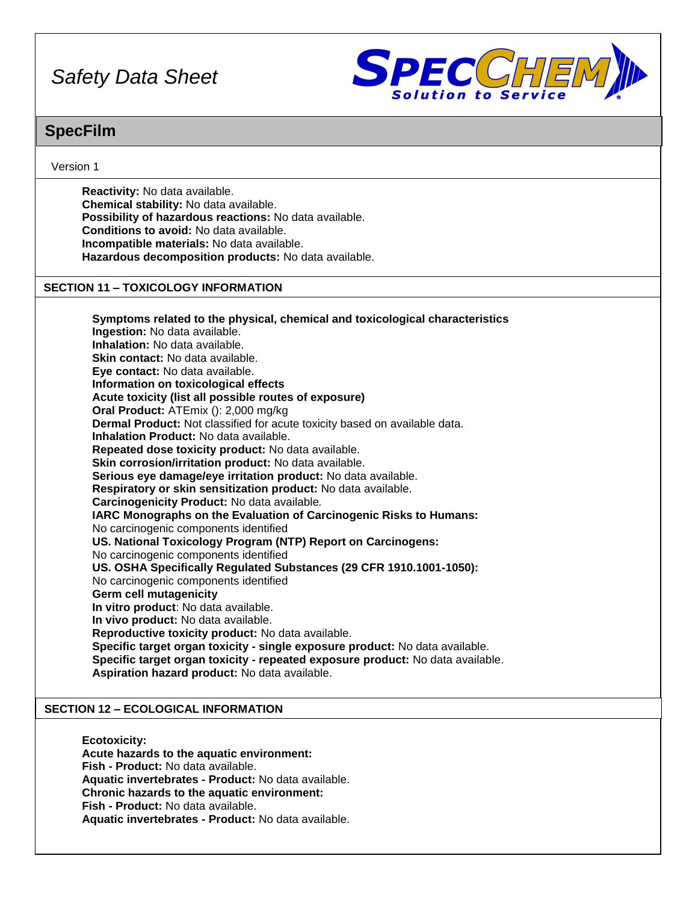

### **SpecFilm**

### Version 1

**Reactivity:** No data available. **Chemical stability:** No data available. **Possibility of hazardous reactions:** No data available. **Conditions to avoid:** No data available. **Incompatible materials:** No data available. **Hazardous decomposition products:** No data available.

#### **SECTION 11 – TOXICOLOGY INFORMATION**

**Symptoms related to the physical, chemical and toxicological characteristics Ingestion:** No data available. **Inhalation:** No data available. **Skin contact:** No data available. **Eye contact:** No data available. **Information on toxicological effects Acute toxicity (list all possible routes of exposure) Oral Product:** ATEmix (): 2,000 mg/kg **Dermal Product:** Not classified for acute toxicity based on available data. **Inhalation Product:** No data available. **Repeated dose toxicity product:** No data available. **Skin corrosion/irritation product:** No data available. **Serious eye damage/eye irritation product:** No data available. **Respiratory or skin sensitization product:** No data available. **Carcinogenicity Product:** No data available*.* **IARC Monographs on the Evaluation of Carcinogenic Risks to Humans:** No carcinogenic components identified **US. National Toxicology Program (NTP) Report on Carcinogens:** No carcinogenic components identified **US. OSHA Specifically Regulated Substances (29 CFR 1910.1001-1050):** No carcinogenic components identified **Germ cell mutagenicity In vitro product**: No data available. **In vivo product:** No data available. **Reproductive toxicity product:** No data available. **Specific target organ toxicity - single exposure product:** No data available. **Specific target organ toxicity - repeated exposure product:** No data available. **Aspiration hazard product:** No data available.

### **SECTION 12 – ECOLOGICAL INFORMATION**

**Ecotoxicity: Acute hazards to the aquatic environment: Fish - Product:** No data available. **Aquatic invertebrates - Product:** No data available. **Chronic hazards to the aquatic environment: Fish - Product:** No data available. **Aquatic invertebrates - Product:** No data available.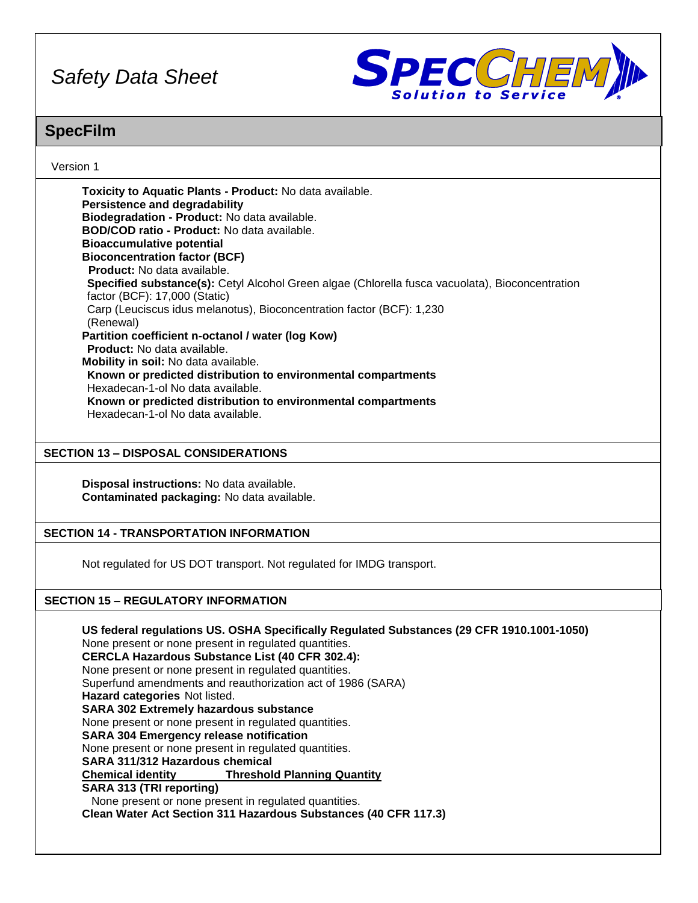

### **SpecFilm**

### Version 1

**Toxicity to Aquatic Plants - Product:** No data available. **Persistence and degradability Biodegradation - Product:** No data available. **BOD/COD ratio - Product:** No data available. **Bioaccumulative potential Bioconcentration factor (BCF) Product:** No data available. **Specified substance(s):** Cetyl Alcohol Green algae (Chlorella fusca vacuolata), Bioconcentration factor (BCF): 17,000 (Static) Carp (Leuciscus idus melanotus), Bioconcentration factor (BCF): 1,230 (Renewal) **Partition coefficient n-octanol / water (log Kow) Product:** No data available. **Mobility in soil:** No data available. **Known or predicted distribution to environmental compartments** Hexadecan-1-ol No data available. **Known or predicted distribution to environmental compartments** Hexadecan-1-ol No data available.

### **SECTION 13 – DISPOSAL CONSIDERATIONS**

**Disposal instructions:** No data available. **Contaminated packaging:** No data available.

### **SECTION 14 - TRANSPORTATION INFORMATION**

Not regulated for US DOT transport. Not regulated for IMDG transport.

### **SECTION 15 – REGULATORY INFORMATION**

**US federal regulations US. OSHA Specifically Regulated Substances (29 CFR 1910.1001-1050)** None present or none present in regulated quantities. **CERCLA Hazardous Substance List (40 CFR 302.4):** None present or none present in regulated quantities. Superfund amendments and reauthorization act of 1986 (SARA) **Hazard categories** Not listed. **SARA 302 Extremely hazardous substance** None present or none present in regulated quantities. **SARA 304 Emergency release notification** None present or none present in regulated quantities. **SARA 311/312 Hazardous chemical Chemical identity Threshold Planning Quantity SARA 313 (TRI reporting)** None present or none present in regulated quantities. **Clean Water Act Section 311 Hazardous Substances (40 CFR 117.3)**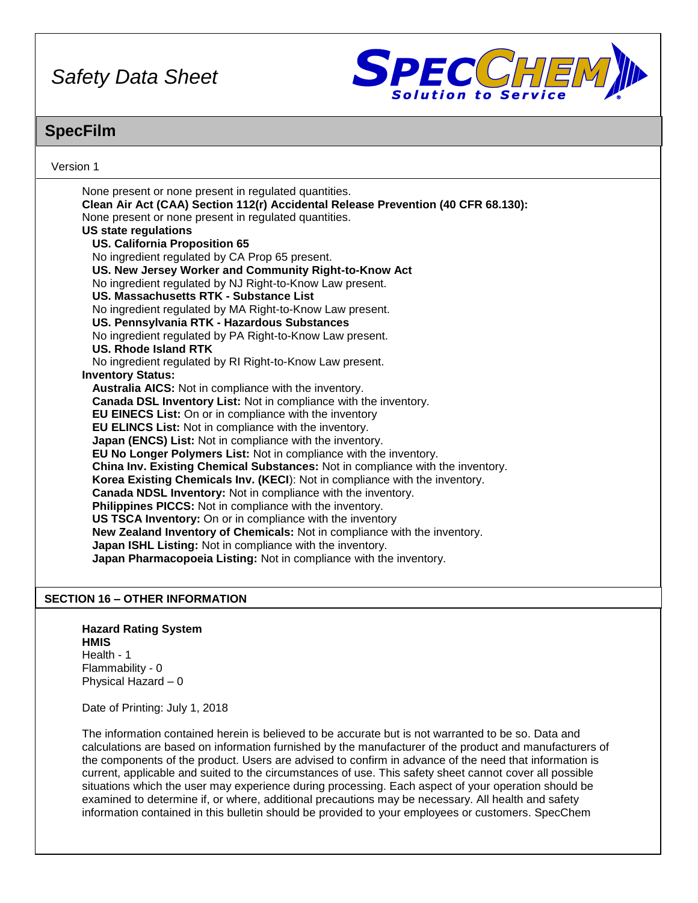

### **SpecFilm**

Version 1 None present or none present in regulated quantities. **Clean Air Act (CAA) Section 112(r) Accidental Release Prevention (40 CFR 68.130):** None present or none present in regulated quantities. **US state regulations US. California Proposition 65** No ingredient regulated by CA Prop 65 present. **US. New Jersey Worker and Community Right-to-Know Act** No ingredient regulated by NJ Right-to-Know Law present. **US. Massachusetts RTK - Substance List** No ingredient regulated by MA Right-to-Know Law present. **US. Pennsylvania RTK - Hazardous Substances** No ingredient regulated by PA Right-to-Know Law present. **US. Rhode Island RTK** No ingredient regulated by RI Right-to-Know Law present. **Inventory Status: Australia AICS:** Not in compliance with the inventory. **Canada DSL Inventory List:** Not in compliance with the inventory. **EU EINECS List:** On or in compliance with the inventory **EU ELINCS List:** Not in compliance with the inventory. **Japan (ENCS) List:** Not in compliance with the inventory. **EU No Longer Polymers List:** Not in compliance with the inventory. **China Inv. Existing Chemical Substances:** Not in compliance with the inventory. **Korea Existing Chemicals Inv. (KECI**): Not in compliance with the inventory. **Canada NDSL Inventory:** Not in compliance with the inventory. **Philippines PICCS:** Not in compliance with the inventory. **US TSCA Inventory:** On or in compliance with the inventory **New Zealand Inventory of Chemicals:** Not in compliance with the inventory. **Japan ISHL Listing:** Not in compliance with the inventory. **Japan Pharmacopoeia Listing:** Not in compliance with the inventory.

### **SECTION 16 – OTHER INFORMATION**

#### **Hazard Rating System HMIS** Health - 1 Flammability - 0

Physical Hazard – 0

Date of Printing: July 1, 2018

The information contained herein is believed to be accurate but is not warranted to be so. Data and calculations are based on information furnished by the manufacturer of the product and manufacturers of the components of the product. Users are advised to confirm in advance of the need that information is current, applicable and suited to the circumstances of use. This safety sheet cannot cover all possible situations which the user may experience during processing. Each aspect of your operation should be examined to determine if, or where, additional precautions may be necessary. All health and safety information contained in this bulletin should be provided to your employees or customers. SpecChem